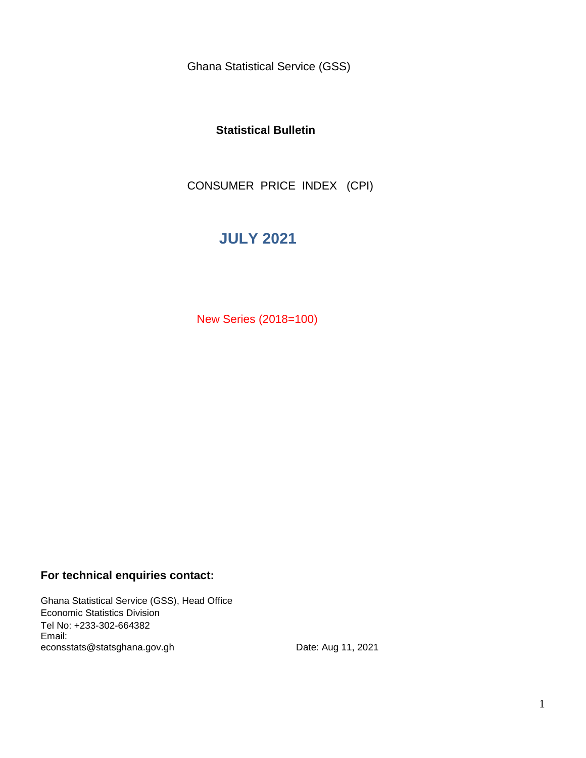Ghana Statistical Service (GSS)

### **Statistical Bulletin**

CONSUMER PRICE INDEX (CPI)

## **JULY 2021**

New Series (2018=100)

### **For technical enquiries contact:**

Ghana Statistical Service (GSS), Head Office Economic Statistics Division Tel No: +233-302-664382 Email: econsstats@statsghana.gov.gh

Date: Aug 11, 2021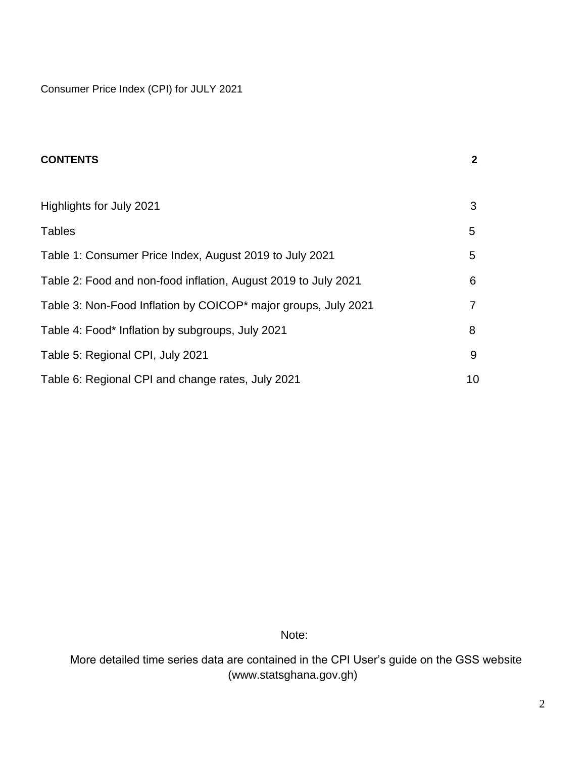Consumer Price Index (CPI) for JULY 2021

| <b>CONTENTS</b>                                                | $\mathbf 2$ |
|----------------------------------------------------------------|-------------|
|                                                                |             |
| Highlights for July 2021                                       | 3           |
| <b>Tables</b>                                                  | 5           |
| Table 1: Consumer Price Index, August 2019 to July 2021        | 5           |
| Table 2: Food and non-food inflation, August 2019 to July 2021 | 6           |
| Table 3: Non-Food Inflation by COICOP* major groups, July 2021 | 7           |
| Table 4: Food* Inflation by subgroups, July 2021               | 8           |
| Table 5: Regional CPI, July 2021                               | 9           |
| Table 6: Regional CPI and change rates, July 2021              | 10          |

Note:

 More detailed time series data are contained in the CPI User's guide on the GSS website (www.statsghana.gov.gh)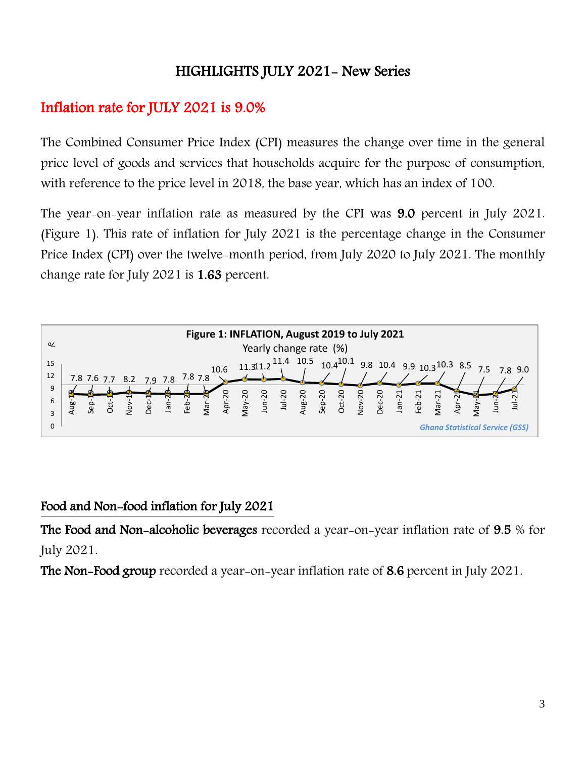# HIGHLIGHTS JULY 2021- New Series

# Inflation rate for JULY 2021 is 9.0%

The Combined Consumer Price Index (CPI) measures the change over time in the general price level of goods and services that households acquire for the purpose of consumption, with reference to the price level in 2018, the base year, which has an index of 100.

The year-on-year inflation rate as measured by the CPI was 9.0 percent in July 2021. (Figure 1). This rate of inflation for July 2021 is the percentage change in the Consumer Price Index (CPI) over the twelve-month period, from July 2020 to July 2021. The monthly change rate for July 2021 is 1.63 percent.



## Food and Non-food inflation for July 2021

The Food and Non-alcoholic beverages recorded a year-on-year inflation rate of 9.5 % for July 2021.

The Non-Food group recorded a year-on-year inflation rate of 8.6 percent in July 2021.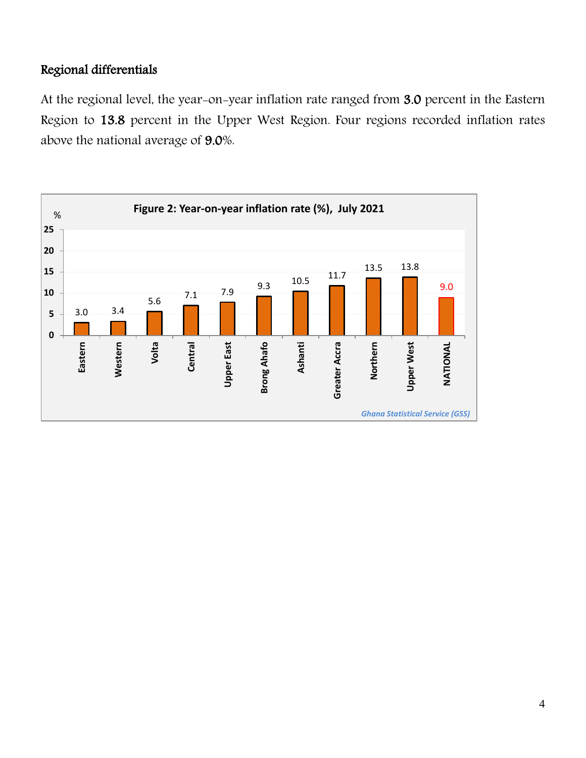## Regional differentials

At the regional level, the year-on-year inflation rate ranged from 3.0 percent in the Eastern Region to 13.8 percent in the Upper West Region. Four regions recorded inflation rates above the national average of 9.0%.

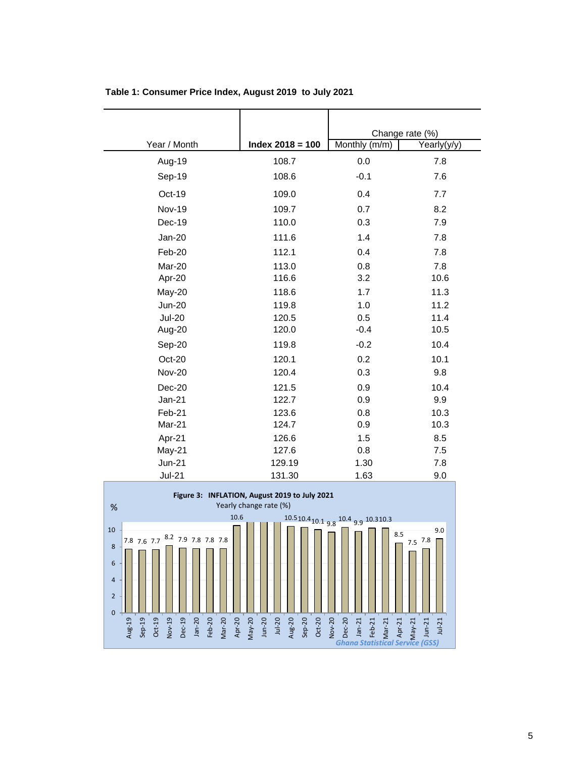|               |                    | Change rate (%) |             |
|---------------|--------------------|-----------------|-------------|
| Year / Month  | $Index 2018 = 100$ | Monthly (m/m)   | Yearly(y/y) |
| Aug-19        | 108.7              | 0.0             | 7.8         |
| Sep-19        | 108.6              | $-0.1$          | 7.6         |
| Oct-19        | 109.0              | 0.4             | 7.7         |
| Nov-19        | 109.7              | 0.7             | 8.2         |
| Dec-19        | 110.0              | 0.3             | 7.9         |
| Jan-20        | 111.6              | 1.4             | 7.8         |
| Feb-20        | 112.1              | 0.4             | 7.8         |
| Mar-20        | 113.0              | 0.8             | 7.8         |
| Apr-20        | 116.6              | 3.2             | 10.6        |
| May-20        | 118.6              | 1.7             | 11.3        |
| <b>Jun-20</b> | 119.8              | 1.0             | 11.2        |
| <b>Jul-20</b> | 120.5              | 0.5             | 11.4        |
| Aug-20        | 120.0              | $-0.4$          | 10.5        |
| Sep-20        | 119.8              | $-0.2$          | 10.4        |
| Oct-20        | 120.1              | 0.2             | 10.1        |
| <b>Nov-20</b> | 120.4              | 0.3             | 9.8         |
| Dec-20        | 121.5              | 0.9             | 10.4        |
| $Jan-21$      | 122.7              | 0.9             | 9.9         |
| Feb-21        | 123.6              | 0.8             | 10.3        |
| Mar-21        | 124.7              | 0.9             | 10.3        |
| Apr-21        | 126.6              | 1.5             | 8.5         |
| May-21        | 127.6              | 0.8             | 7.5         |
| <b>Jun-21</b> | 129.19             | 1.30            | 7.8         |
| <b>Jul-21</b> | 131.30             | 1.63            | 9.0         |

**Table 1: Consumer Price Index, August 2019 to July 2021**

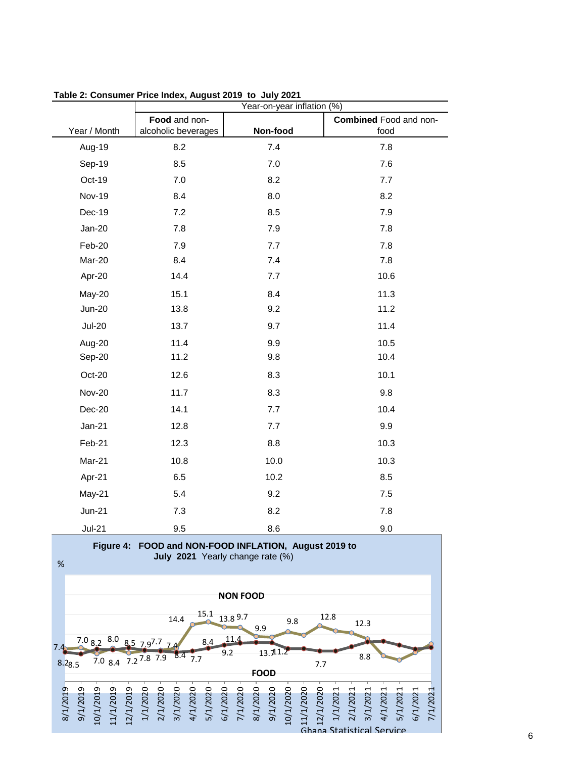|               | Year-on-year inflation (%) |          |                               |  |
|---------------|----------------------------|----------|-------------------------------|--|
|               | Food and non-              |          | <b>Combined Food and non-</b> |  |
| Year / Month  | alcoholic beverages        | Non-food | food                          |  |
| Aug-19        | 8.2                        | 7.4      | 7.8                           |  |
| Sep-19        | 8.5                        | 7.0      | 7.6                           |  |
| Oct-19        | $7.0$                      | 8.2      | 7.7                           |  |
| <b>Nov-19</b> | 8.4                        | 8.0      | 8.2                           |  |
| Dec-19        | 7.2                        | 8.5      | 7.9                           |  |
| Jan-20        | 7.8                        | 7.9      | 7.8                           |  |
| Feb-20        | 7.9                        | 7.7      | 7.8                           |  |
| Mar-20        | 8.4                        | 7.4      | 7.8                           |  |
| Apr-20        | 14.4                       | 7.7      | 10.6                          |  |
| May-20        | 15.1                       | 8.4      | 11.3                          |  |
| <b>Jun-20</b> | 13.8                       | 9.2      | 11.2                          |  |
| <b>Jul-20</b> | 13.7                       | 9.7      | 11.4                          |  |
| Aug-20        | 11.4                       | 9.9      | 10.5                          |  |
| Sep-20        | 11.2                       | 9.8      | 10.4                          |  |
| Oct-20        | 12.6                       | 8.3      | 10.1                          |  |
| <b>Nov-20</b> | 11.7                       | 8.3      | 9.8                           |  |
| <b>Dec-20</b> | 14.1                       | 7.7      | 10.4                          |  |
| Jan-21        | 12.8                       | 7.7      | 9.9                           |  |
| Feb-21        | 12.3                       | 8.8      | 10.3                          |  |
| Mar-21        | 10.8                       | 10.0     | 10.3                          |  |
| Apr-21        | 6.5                        | 10.2     | 8.5                           |  |
| May-21        | 5.4                        | 9.2      | 7.5                           |  |
| <b>Jun-21</b> | 7.3                        | 8.2      | 7.8                           |  |
| $Jul-21$      | 9.5                        | 8.6      | 9.0                           |  |

**Table 2: Consumer Price Index, August 2019 to July 2021**

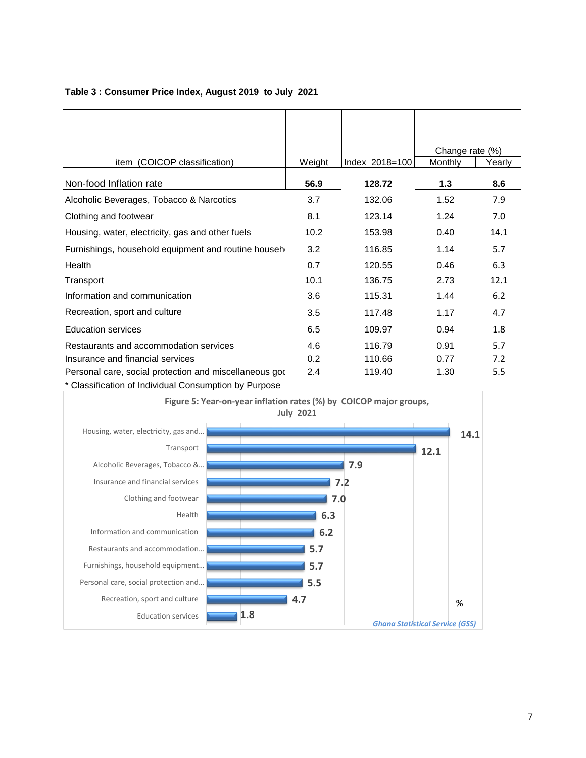|                                                        |        |                | Change rate (%) |        |
|--------------------------------------------------------|--------|----------------|-----------------|--------|
| item (COICOP classification)                           | Weight | Index 2018=100 | Monthly         | Yearly |
| Non-food Inflation rate                                | 56.9   | 128.72         | 1.3             | 8.6    |
| Alcoholic Beverages, Tobacco & Narcotics               | 3.7    | 132.06         | 1.52            | 7.9    |
| Clothing and footwear                                  | 8.1    | 123.14         | 1.24            | 7.0    |
| Housing, water, electricity, gas and other fuels       | 10.2   | 153.98         | 0.40            | 14.1   |
| Furnishings, household equipment and routine househ    | 3.2    | 116.85         | 1.14            | 5.7    |
| Health                                                 | 0.7    | 120.55         | 0.46            | 6.3    |
| Transport                                              | 10.1   | 136.75         | 2.73            | 12.1   |
| Information and communication                          | 3.6    | 115.31         | 1.44            | 6.2    |
| Recreation, sport and culture                          | 3.5    | 117.48         | 1.17            | 4.7    |
| <b>Education services</b>                              | 6.5    | 109.97         | 0.94            | 1.8    |
| Restaurants and accommodation services                 | 4.6    | 116.79         | 0.91            | 5.7    |
| Insurance and financial services                       | 0.2    | 110.66         | 0.77            | 7.2    |
| Personal care, social protection and miscellaneous god | 2.4    | 119.40         | 1.30            | 5.5    |
| * Classification of Individual Consumption by Purpose  |        |                |                 |        |

#### **Table 3 : Consumer Price Index, August 2019 to July 2021**

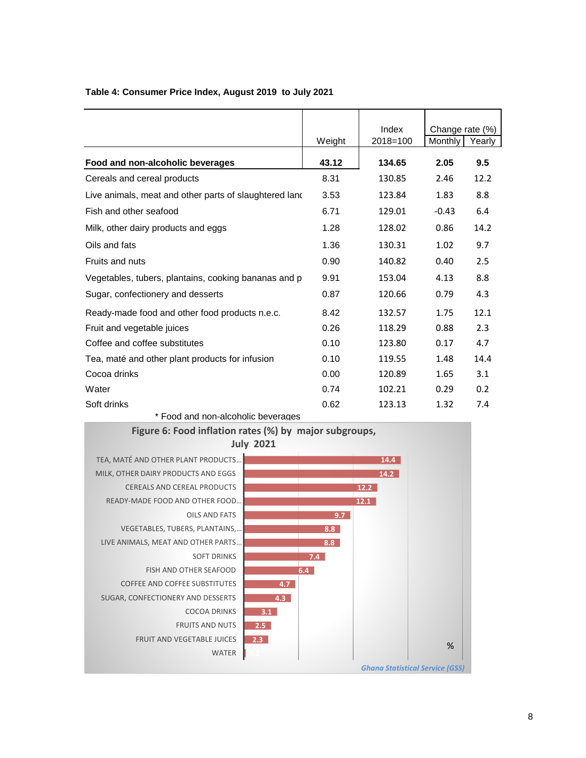|                                                        |        | Index    | Change rate (%) |        |
|--------------------------------------------------------|--------|----------|-----------------|--------|
|                                                        | Weight | 2018=100 | Monthly         | Yearly |
| Food and non-alcoholic beverages                       | 43.12  | 134.65   | 2.05            | 9.5    |
| Cereals and cereal products                            | 8.31   | 130.85   | 2.46            | 12.2   |
| Live animals, meat and other parts of slaughtered land | 3.53   | 123.84   | 1.83            | 8.8    |
| Fish and other seafood                                 | 6.71   | 129.01   | $-0.43$         | 6.4    |
| Milk, other dairy products and eggs                    | 1.28   | 128.02   | 0.86            | 14.2   |
| Oils and fats                                          | 1.36   | 130.31   | 1.02            | 9.7    |
| <b>Fruits and nuts</b>                                 | 0.90   | 140.82   | 0.40            | 2.5    |
| Vegetables, tubers, plantains, cooking bananas and p   | 9.91   | 153.04   | 4.13            | 8.8    |
| Sugar, confectionery and desserts                      | 0.87   | 120.66   | 0.79            | 4.3    |
| Ready-made food and other food products n.e.c.         | 8.42   | 132.57   | 1.75            | 12.1   |
| Fruit and vegetable juices                             | 0.26   | 118.29   | 0.88            | 2.3    |
| Coffee and coffee substitutes                          | 0.10   | 123.80   | 0.17            | 4.7    |
| Tea, maté and other plant products for infusion        | 0.10   | 119.55   | 1.48            | 14.4   |
| Cocoa drinks                                           | 0.00   | 120.89   | 1.65            | 3.1    |
| Water                                                  | 0.74   | 102.21   | 0.29            | 0.2    |
| Soft drinks                                            | 0.62   | 123.13   | 1.32            | 7.4    |

### **Table 4: Consumer Price Index, August 2019 to July 2021**

\* Food and non-alcoholic beverages

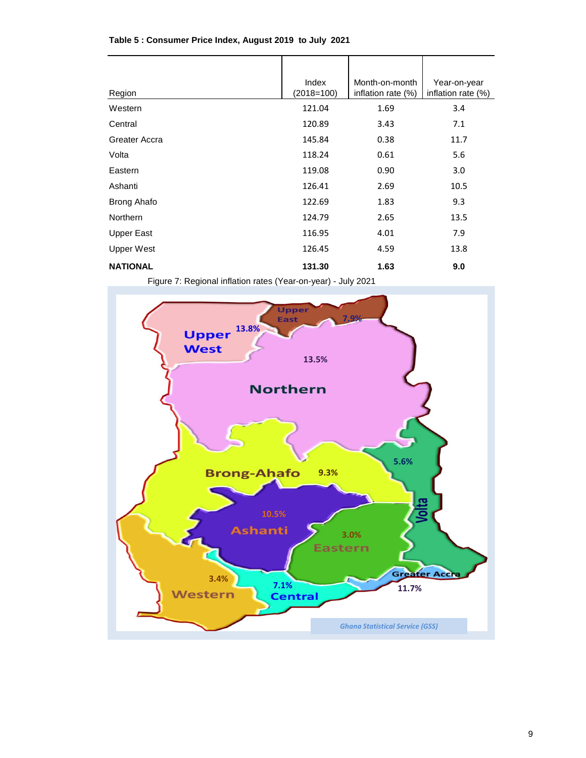| Region             | Index<br>$(2018=100)$ | Month-on-month<br>inflation rate (%) | Year-on-year<br>inflation rate (%) |
|--------------------|-----------------------|--------------------------------------|------------------------------------|
| Western            | 121.04                | 1.69                                 | 3.4                                |
| Central            | 120.89                | 3.43                                 | 7.1                                |
| Greater Accra      | 145.84                | 0.38                                 | 11.7                               |
| Volta              | 118.24                | 0.61                                 | 5.6                                |
| Eastern            | 119.08                | 0.90                                 | 3.0                                |
| Ashanti            | 126.41                | 2.69                                 | 10.5                               |
| <b>Brong Ahafo</b> | 122.69                | 1.83                                 | 9.3                                |
| <b>Northern</b>    | 124.79                | 2.65                                 | 13.5                               |
| <b>Upper East</b>  | 116.95                | 4.01                                 | 7.9                                |
| Upper West         | 126.45                | 4.59                                 | 13.8                               |
| <b>NATIONAL</b>    | 131.30                | 1.63                                 | 9.0                                |

#### **Table 5 : Consumer Price Index, August 2019 to July 2021**

Figure 7: Regional inflation rates (Year-on-year) - July 2021